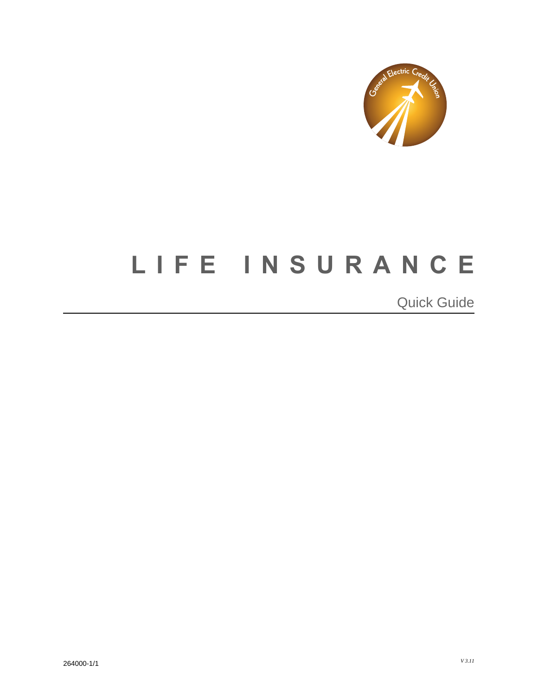

## **LIFE INSURANCE** I j

 $\overline{a}$  $\overline{a}$ Quick Guide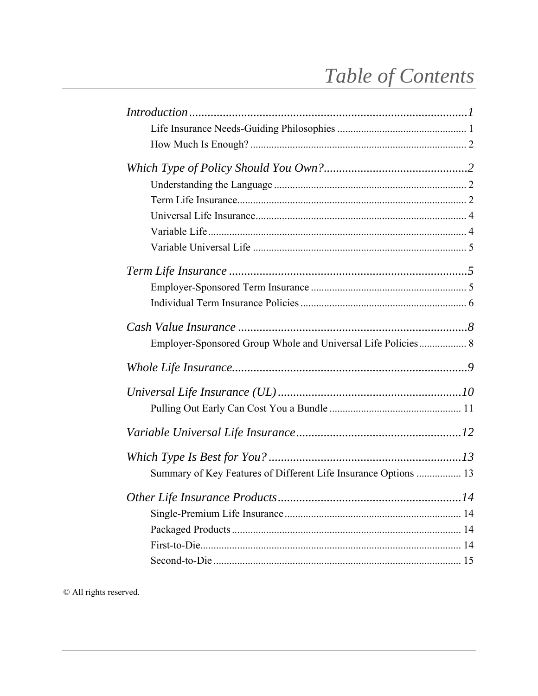# Table of Contents

| Employer-Sponsored Group Whole and Universal Life Policies 8    |
|-----------------------------------------------------------------|
|                                                                 |
|                                                                 |
|                                                                 |
|                                                                 |
|                                                                 |
| Summary of Key Features of Different Life Insurance Options  13 |
|                                                                 |
|                                                                 |
|                                                                 |
|                                                                 |
|                                                                 |

© All rights reserved.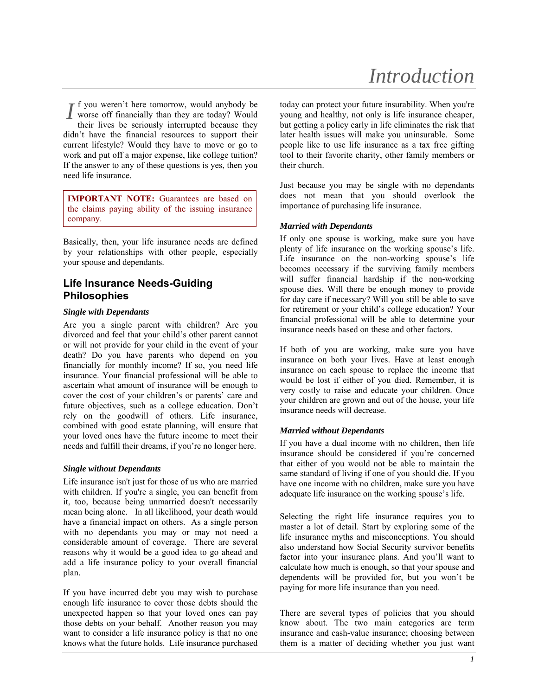## *Introduction*

f you weren't here tomorrow, would anybody be If you weren't here tomorrow, would anybody be<br>worse off financially than they are today? Would their lives be seriously interrupted because they didn't have the financial resources to support their current lifestyle? Would they have to move or go to work and put off a major expense, like college tuition? If the answer to any of these questions is yes, then you need life insurance.

**IMPORTANT NOTE:** Guarantees are based on the claims paying ability of the issuing insurance company.

Basically, then, your life insurance needs are defined by your relationships with other people, especially your spouse and dependants.

### **Life Insurance Needs-Guiding Philosophies**

#### *Single with Dependants*

Are you a single parent with children? Are you divorced and feel that your child's other parent cannot or will not provide for your child in the event of your death? Do you have parents who depend on you financially for monthly income? If so, you need life insurance. Your financial professional will be able to ascertain what amount of insurance will be enough to cover the cost of your children's or parents' care and future objectives, such as a college education. Don't rely on the goodwill of others. Life insurance, combined with good estate planning, will ensure that your loved ones have the future income to meet their needs and fulfill their dreams, if you're no longer here.

#### *Single without Dependants*

Life insurance isn't just for those of us who are married with children. If you're a single, you can benefit from it, too, because being unmarried doesn't necessarily mean being alone. In all likelihood, your death would have a financial impact on others. As a single person with no dependants you may or may not need a considerable amount of coverage. There are several reasons why it would be a good idea to go ahead and add a life insurance policy to your overall financial plan.

If you have incurred debt you may wish to purchase enough life insurance to cover those debts should the unexpected happen so that your loved ones can pay those debts on your behalf. Another reason you may want to consider a life insurance policy is that no one knows what the future holds. Life insurance purchased today can protect your future insurability. When you're young and healthy, not only is life insurance cheaper, but getting a policy early in life eliminates the risk that later health issues will make you uninsurable. Some people like to use life insurance as a tax free gifting tool to their favorite charity, other family members or their church.

Just because you may be single with no dependants does not mean that you should overlook the importance of purchasing life insurance.

#### *Married with Dependants*

If only one spouse is working, make sure you have plenty of life insurance on the working spouse's life. Life insurance on the non-working spouse's life becomes necessary if the surviving family members will suffer financial hardship if the non-working spouse dies. Will there be enough money to provide for day care if necessary? Will you still be able to save for retirement or your child's college education? Your financial professional will be able to determine your insurance needs based on these and other factors.

If both of you are working, make sure you have insurance on both your lives. Have at least enough insurance on each spouse to replace the income that would be lost if either of you died. Remember, it is very costly to raise and educate your children. Once your children are grown and out of the house, your life insurance needs will decrease.

#### *Married without Dependants*

If you have a dual income with no children, then life insurance should be considered if you're concerned that either of you would not be able to maintain the same standard of living if one of you should die. If you have one income with no children, make sure you have adequate life insurance on the working spouse's life.

Selecting the right life insurance requires you to master a lot of detail. Start by exploring some of the life insurance myths and misconceptions. You should also understand how Social Security survivor benefits factor into your insurance plans. And you'll want to calculate how much is enough, so that your spouse and dependents will be provided for, but you won't be paying for more life insurance than you need.

There are several types of policies that you should know about. The two main categories are term insurance and cash-value insurance; choosing between them is a matter of deciding whether you just want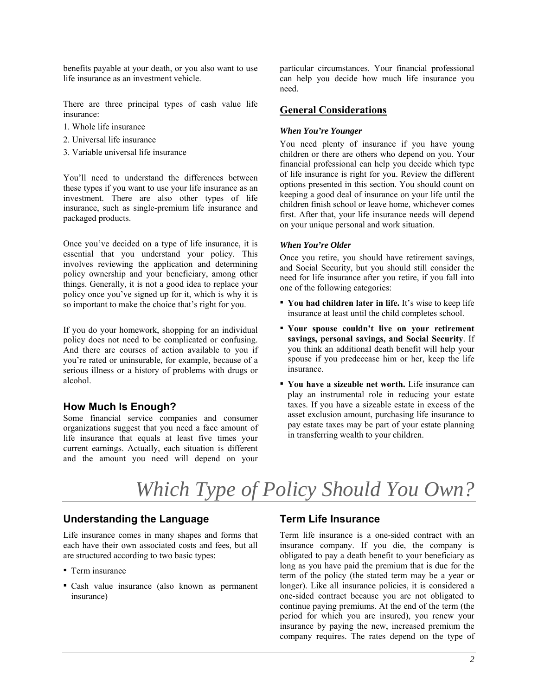benefits payable at your death, or you also want to use life insurance as an investment vehicle.

There are three principal types of cash value life insurance:

- 1. Whole life insurance
- 2. Universal life insurance
- 3. Variable universal life insurance

You'll need to understand the differences between these types if you want to use your life insurance as an investment. There are also other types of life insurance, such as single-premium life insurance and packaged products.

Once you've decided on a type of life insurance, it is essential that you understand your policy. This involves reviewing the application and determining policy ownership and your beneficiary, among other things. Generally, it is not a good idea to replace your policy once you've signed up for it, which is why it is so important to make the choice that's right for you.

If you do your homework, shopping for an individual policy does not need to be complicated or confusing. And there are courses of action available to you if you're rated or uninsurable, for example, because of a serious illness or a history of problems with drugs or alcohol.

#### **How Much Is Enough?**

Some financial service companies and consumer organizations suggest that you need a face amount of life insurance that equals at least five times your current earnings. Actually, each situation is different and the amount you need will depend on your

particular circumstances. Your financial professional can help you decide how much life insurance you need.

#### **General Considerations**

#### *When You're Younger*

You need plenty of insurance if you have young children or there are others who depend on you. Your financial professional can help you decide which type of life insurance is right for you. Review the different options presented in this section. You should count on keeping a good deal of insurance on your life until the children finish school or leave home, whichever comes first. After that, your life insurance needs will depend on your unique personal and work situation.

#### *When You're Older*

Once you retire, you should have retirement savings, and Social Security, but you should still consider the need for life insurance after you retire, if you fall into one of the following categories:

- **You had children later in life.** It's wise to keep life insurance at least until the child completes school.
- **Your spouse couldn't live on your retirement savings, personal savings, and Social Security**. If you think an additional death benefit will help your spouse if you predecease him or her, keep the life insurance.
- **You have a sizeable net worth.** Life insurance can play an instrumental role in reducing your estate taxes. If you have a sizeable estate in excess of the asset exclusion amount, purchasing life insurance to pay estate taxes may be part of your estate planning in transferring wealth to your children.

# *Which Type of Policy Should You Own?*

#### **Understanding the Language**

Life insurance comes in many shapes and forms that each have their own associated costs and fees, but all are structured according to two basic types:

- Term insurance
- Cash value insurance (also known as permanent insurance)

### **Term Life Insurance**

Term life insurance is a one-sided contract with an insurance company. If you die, the company is obligated to pay a death benefit to your beneficiary as long as you have paid the premium that is due for the term of the policy (the stated term may be a year or longer). Like all insurance policies, it is considered a one-sided contract because you are not obligated to continue paying premiums. At the end of the term (the period for which you are insured), you renew your insurance by paying the new, increased premium the company requires. The rates depend on the type of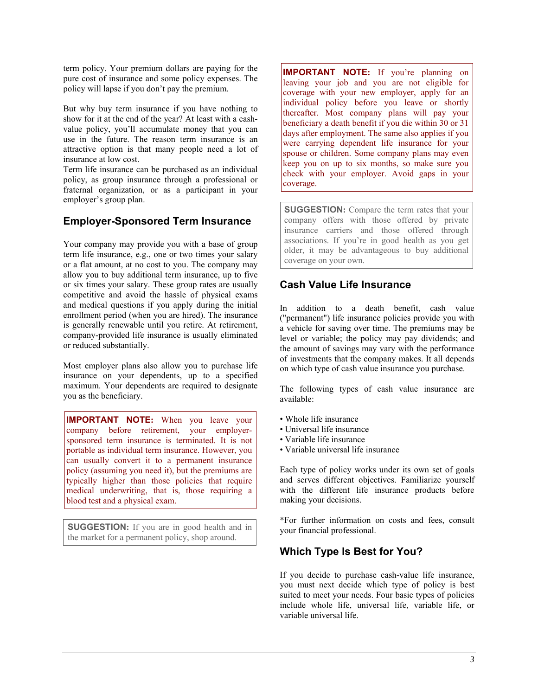term policy. Your premium dollars are paying for the pure cost of insurance and some policy expenses. The policy will lapse if you don't pay the premium.

But why buy term insurance if you have nothing to show for it at the end of the year? At least with a cashvalue policy, you'll accumulate money that you can use in the future. The reason term insurance is an attractive option is that many people need a lot of insurance at low cost.

Term life insurance can be purchased as an individual policy, as group insurance through a professional or fraternal organization, or as a participant in your employer's group plan.

## **Employer-Sponsored Term Insurance**

Your company may provide you with a base of group term life insurance, e.g., one or two times your salary or a flat amount, at no cost to you. The company may allow you to buy additional term insurance, up to five or six times your salary. These group rates are usually competitive and avoid the hassle of physical exams and medical questions if you apply during the initial enrollment period (when you are hired). The insurance is generally renewable until you retire. At retirement, company-provided life insurance is usually eliminated or reduced substantially.

Most employer plans also allow you to purchase life insurance on your dependents, up to a specified maximum. Your dependents are required to designate you as the beneficiary.

**IMPORTANT NOTE:** When you leave your company before retirement, your employersponsored term insurance is terminated. It is not portable as individual term insurance. However, you can usually convert it to a permanent insurance policy (assuming you need it), but the premiums are typically higher than those policies that require medical underwriting, that is, those requiring a blood test and a physical exam.

**SUGGESTION:** If you are in good health and in the market for a permanent policy, shop around.

**IMPORTANT NOTE:** If you're planning on leaving your job and you are not eligible for coverage with your new employer, apply for an individual policy before you leave or shortly thereafter. Most company plans will pay your beneficiary a death benefit if you die within 30 or 31 days after employment. The same also applies if you were carrying dependent life insurance for your spouse or children. Some company plans may even keep you on up to six months, so make sure you check with your employer. Avoid gaps in your coverage.

**SUGGESTION:** Compare the term rates that your company offers with those offered by private insurance carriers and those offered through associations. If you're in good health as you get older, it may be advantageous to buy additional coverage on your own.

## **Cash Value Life Insurance**

In addition to a death benefit, cash value ("permanent") life insurance policies provide you with a vehicle for saving over time. The premiums may be level or variable; the policy may pay dividends; and the amount of savings may vary with the performance of investments that the company makes. It all depends on which type of cash value insurance you purchase.

The following types of cash value insurance are available:

- Whole life insurance
- Universal life insurance
- Variable life insurance
- Variable universal life insurance

Each type of policy works under its own set of goals and serves different objectives. Familiarize yourself with the different life insurance products before making your decisions.

\*For further information on costs and fees, consult your financial professional.

## **Which Type Is Best for You?**

If you decide to purchase cash-value life insurance, you must next decide which type of policy is best suited to meet your needs. Four basic types of policies include whole life, universal life, variable life, or variable universal life.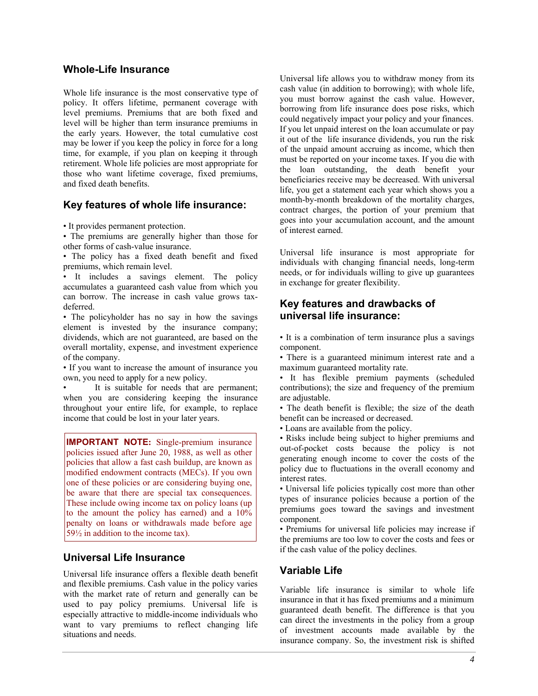### **Whole-Life Insurance**

Whole life insurance is the most conservative type of policy. It offers lifetime, permanent coverage with level premiums. Premiums that are both fixed and level will be higher than term insurance premiums in the early years. However, the total cumulative cost may be lower if you keep the policy in force for a long time, for example, if you plan on keeping it through retirement. Whole life policies are most appropriate for those who want lifetime coverage, fixed premiums, and fixed death benefits.

#### **Key features of whole life insurance:**

• It provides permanent protection.

• The premiums are generally higher than those for other forms of cash-value insurance.

• The policy has a fixed death benefit and fixed premiums, which remain level.

• It includes a savings element. The policy accumulates a guaranteed cash value from which you can borrow. The increase in cash value grows taxdeferred.

• The policyholder has no say in how the savings element is invested by the insurance company; dividends, which are not guaranteed, are based on the overall mortality, expense, and investment experience of the company.

• If you want to increase the amount of insurance you own, you need to apply for a new policy.

It is suitable for needs that are permanent; when you are considering keeping the insurance throughout your entire life, for example, to replace income that could be lost in your later years.

**IMPORTANT NOTE:** Single-premium insurance policies issued after June 20, 1988, as well as other policies that allow a fast cash buildup, are known as modified endowment contracts (MECs). If you own one of these policies or are considering buying one, be aware that there are special tax consequences. These include owing income tax on policy loans (up to the amount the policy has earned) and a 10% penalty on loans or withdrawals made before age 59½ in addition to the income tax).

### **Universal Life Insurance**

Universal life insurance offers a flexible death benefit and flexible premiums. Cash value in the policy varies with the market rate of return and generally can be used to pay policy premiums. Universal life is especially attractive to middle-income individuals who want to vary premiums to reflect changing life situations and needs.

Universal life allows you to withdraw money from its cash value (in addition to borrowing); with whole life, you must borrow against the cash value. However, borrowing from life insurance does pose risks, which could negatively impact your policy and your finances. If you let unpaid interest on the loan accumulate or pay it out of the life insurance dividends, you run the risk of the unpaid amount accruing as income, which then must be reported on your income taxes. If you die with the loan outstanding, the death benefit your beneficiaries receive may be decreased. With universal life, you get a statement each year which shows you a month-by-month breakdown of the mortality charges, contract charges, the portion of your premium that goes into your accumulation account, and the amount of interest earned.

Universal life insurance is most appropriate for individuals with changing financial needs, long-term needs, or for individuals willing to give up guarantees in exchange for greater flexibility.

### **Key features and drawbacks of universal life insurance:**

• It is a combination of term insurance plus a savings component.

• There is a guaranteed minimum interest rate and a maximum guaranteed mortality rate.

• It has flexible premium payments (scheduled contributions); the size and frequency of the premium are adjustable.

• The death benefit is flexible; the size of the death benefit can be increased or decreased.

• Loans are available from the policy.

• Risks include being subject to higher premiums and out-of-pocket costs because the policy is not generating enough income to cover the costs of the policy due to fluctuations in the overall economy and interest rates.

• Universal life policies typically cost more than other types of insurance policies because a portion of the premiums goes toward the savings and investment component.

• Premiums for universal life policies may increase if the premiums are too low to cover the costs and fees or if the cash value of the policy declines.

## **Variable Life**

Variable life insurance is similar to whole life insurance in that it has fixed premiums and a minimum guaranteed death benefit. The difference is that you can direct the investments in the policy from a group of investment accounts made available by the insurance company. So, the investment risk is shifted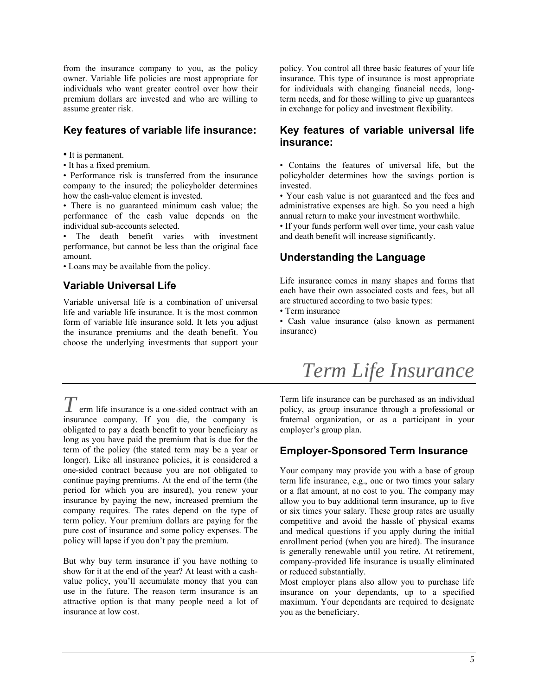from the insurance company to you, as the policy owner. Variable life policies are most appropriate for individuals who want greater control over how their premium dollars are invested and who are willing to assume greater risk.

### **Key features of variable life insurance:**

• It is permanent.

• It has a fixed premium.

• Performance risk is transferred from the insurance company to the insured; the policyholder determines how the cash-value element is invested.

• There is no guaranteed minimum cash value; the performance of the cash value depends on the individual sub-accounts selected.

The death benefit varies with investment performance, but cannot be less than the original face amount.

• Loans may be available from the policy.

## **Variable Universal Life**

Variable universal life is a combination of universal life and variable life insurance. It is the most common form of variable life insurance sold. It lets you adjust the insurance premiums and the death benefit. You choose the underlying investments that support your

 $T$  erm life insurance is a one-sided contract with an insurance company. If you die, the company is obligated to pay a death benefit to your beneficiary as long as you have paid the premium that is due for the term of the policy (the stated term may be a year or longer). Like all insurance policies, it is considered a one-sided contract because you are not obligated to continue paying premiums. At the end of the term (the period for which you are insured), you renew your insurance by paying the new, increased premium the company requires. The rates depend on the type of term policy. Your premium dollars are paying for the pure cost of insurance and some policy expenses. The policy will lapse if you don't pay the premium.

But why buy term insurance if you have nothing to show for it at the end of the year? At least with a cashvalue policy, you'll accumulate money that you can use in the future. The reason term insurance is an attractive option is that many people need a lot of insurance at low cost.

policy. You control all three basic features of your life insurance. This type of insurance is most appropriate for individuals with changing financial needs, longterm needs, and for those willing to give up guarantees in exchange for policy and investment flexibility*.*

## **Key features of variable universal life insurance:**

• Contains the features of universal life, but the policyholder determines how the savings portion is invested.

• Your cash value is not guaranteed and the fees and administrative expenses are high. So you need a high annual return to make your investment worthwhile.

• If your funds perform well over time, your cash value and death benefit will increase significantly.

## **Understanding the Language**

Life insurance comes in many shapes and forms that each have their own associated costs and fees, but all are structured according to two basic types:

• Term insurance

• Cash value insurance (also known as permanent insurance)

# *Term Life Insurance*

Term life insurance can be purchased as an individual policy, as group insurance through a professional or fraternal organization, or as a participant in your employer's group plan.

## **Employer-Sponsored Term Insurance**

Your company may provide you with a base of group term life insurance, e.g., one or two times your salary or a flat amount, at no cost to you. The company may allow you to buy additional term insurance, up to five or six times your salary. These group rates are usually competitive and avoid the hassle of physical exams and medical questions if you apply during the initial enrollment period (when you are hired). The insurance is generally renewable until you retire. At retirement, company-provided life insurance is usually eliminated or reduced substantially.

Most employer plans also allow you to purchase life insurance on your dependants, up to a specified maximum. Your dependants are required to designate you as the beneficiary.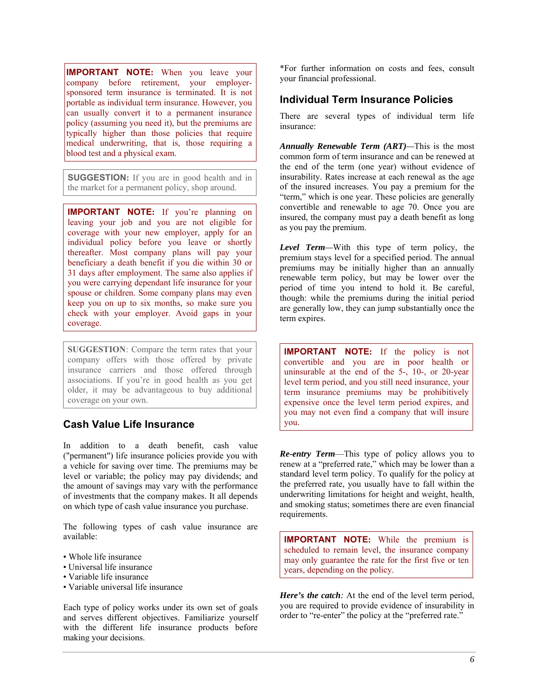**IMPORTANT NOTE:** When you leave your company before retirement, your employersponsored term insurance is terminated. It is not portable as individual term insurance. However, you can usually convert it to a permanent insurance policy (assuming you need it), but the premiums are typically higher than those policies that require medical underwriting, that is, those requiring a blood test and a physical exam.

**SUGGESTION:** If you are in good health and in the market for a permanent policy, shop around.

**IMPORTANT NOTE:** If you're planning on leaving your job and you are not eligible for coverage with your new employer, apply for an individual policy before you leave or shortly thereafter. Most company plans will pay your beneficiary a death benefit if you die within 30 or 31 days after employment. The same also applies if you were carrying dependant life insurance for your spouse or children. Some company plans may even keep you on up to six months, so make sure you check with your employer. Avoid gaps in your coverage.

**SUGGESTION**: Compare the term rates that your company offers with those offered by private insurance carriers and those offered through associations. If you're in good health as you get older, it may be advantageous to buy additional coverage on your own.

## **Cash Value Life Insurance**

In addition to a death benefit, cash value ("permanent") life insurance policies provide you with a vehicle for saving over time. The premiums may be level or variable; the policy may pay dividends; and the amount of savings may vary with the performance of investments that the company makes. It all depends on which type of cash value insurance you purchase.

The following types of cash value insurance are available:

- Whole life insurance
- Universal life insurance
- Variable life insurance
- Variable universal life insurance

Each type of policy works under its own set of goals and serves different objectives. Familiarize yourself with the different life insurance products before making your decisions.

\*For further information on costs and fees, consult your financial professional.

### **Individual Term Insurance Policies**

There are several types of individual term life insurance:

*Annually Renewable Term (ART)—*This is the most common form of term insurance and can be renewed at the end of the term (one year) without evidence of insurability. Rates increase at each renewal as the age of the insured increases. You pay a premium for the "term," which is one year. These policies are generally convertible and renewable to age 70. Once you are insured, the company must pay a death benefit as long as you pay the premium.

*Level Term—*With this type of term policy, the premium stays level for a specified period. The annual premiums may be initially higher than an annually renewable term policy, but may be lower over the period of time you intend to hold it. Be careful, though: while the premiums during the initial period are generally low, they can jump substantially once the term expires.

**IMPORTANT NOTE:** If the policy is not convertible and you are in poor health or uninsurable at the end of the 5-, 10-, or 20-year level term period, and you still need insurance, your term insurance premiums may be prohibitively expensive once the level term period expires, and you may not even find a company that will insure you.

*Re-entry Term*—This type of policy allows you to renew at a "preferred rate," which may be lower than a standard level term policy. To qualify for the policy at the preferred rate, you usually have to fall within the underwriting limitations for height and weight, health, and smoking status; sometimes there are even financial requirements.

**IMPORTANT NOTE:** While the premium is scheduled to remain level, the insurance company may only guarantee the rate for the first five or ten years, depending on the policy.

*Here's the catch:* At the end of the level term period, you are required to provide evidence of insurability in order to "re-enter" the policy at the "preferred rate."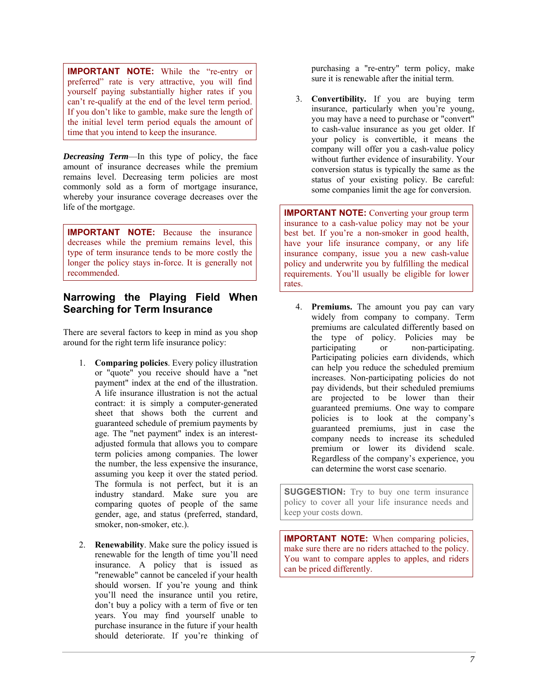**IMPORTANT NOTE:** While the "re-entry or preferred" rate is very attractive, you will find yourself paying substantially higher rates if you can't re-qualify at the end of the level term period. If you don't like to gamble, make sure the length of the initial level term period equals the amount of time that you intend to keep the insurance.

*Decreasing Term*—In this type of policy, the face amount of insurance decreases while the premium remains level. Decreasing term policies are most commonly sold as a form of mortgage insurance, whereby your insurance coverage decreases over the life of the mortgage.

**IMPORTANT NOTE:** Because the insurance decreases while the premium remains level, this type of term insurance tends to be more costly the longer the policy stays in-force. It is generally not recommended.

## **Narrowing the Playing Field When Searching for Term Insurance**

There are several factors to keep in mind as you shop around for the right term life insurance policy:

- 1. **Comparing policies**. Every policy illustration or "quote" you receive should have a "net payment" index at the end of the illustration. A life insurance illustration is not the actual contract: it is simply a computer-generated sheet that shows both the current and guaranteed schedule of premium payments by age. The "net payment" index is an interestadjusted formula that allows you to compare term policies among companies. The lower the number, the less expensive the insurance, assuming you keep it over the stated period. The formula is not perfect, but it is an industry standard. Make sure you are comparing quotes of people of the same gender, age, and status (preferred, standard, smoker, non-smoker, etc.).
- 2. **Renewability**. Make sure the policy issued is renewable for the length of time you'll need insurance. A policy that is issued as "renewable" cannot be canceled if your health should worsen. If you're young and think you'll need the insurance until you retire, don't buy a policy with a term of five or ten years. You may find yourself unable to purchase insurance in the future if your health should deteriorate. If you're thinking of

purchasing a "re-entry" term policy, make sure it is renewable after the initial term.

3. **Convertibility.** If you are buying term insurance, particularly when you're young, you may have a need to purchase or "convert" to cash-value insurance as you get older. If your policy is convertible, it means the company will offer you a cash-value policy without further evidence of insurability. Your conversion status is typically the same as the status of your existing policy. Be careful: some companies limit the age for conversion.

**IMPORTANT NOTE:** Converting your group term insurance to a cash-value policy may not be your best bet. If you're a non-smoker in good health, have your life insurance company, or any life insurance company, issue you a new cash-value policy and underwrite you by fulfilling the medical requirements. You'll usually be eligible for lower rates.

4. **Premiums.** The amount you pay can vary widely from company to company. Term premiums are calculated differently based on the type of policy. Policies may be participating or non-participating. Participating policies earn dividends, which can help you reduce the scheduled premium increases. Non-participating policies do not pay dividends, but their scheduled premiums are projected to be lower than their guaranteed premiums. One way to compare policies is to look at the company's guaranteed premiums, just in case the company needs to increase its scheduled premium or lower its dividend scale. Regardless of the company's experience, you can determine the worst case scenario.

**SUGGESTION:** Try to buy one term insurance policy to cover all your life insurance needs and keep your costs down.

**IMPORTANT NOTE:** When comparing policies, make sure there are no riders attached to the policy. You want to compare apples to apples, and riders can be priced differently.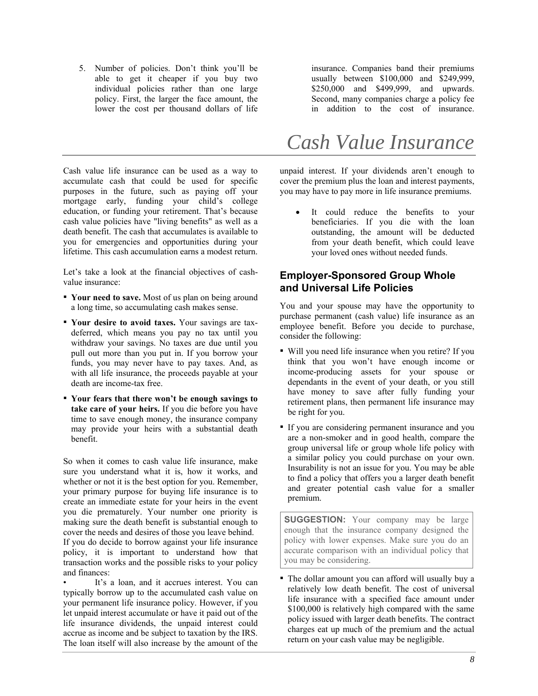5. Number of policies. Don't think you'll be able to get it cheaper if you buy two individual policies rather than one large policy. First, the larger the face amount, the lower the cost per thousand dollars of life

Cash value life insurance can be used as a way to accumulate cash that could be used for specific purposes in the future, such as paying off your mortgage early, funding your child's college education, or funding your retirement. That's because cash value policies have "living benefits" as well as a death benefit. The cash that accumulates is available to you for emergencies and opportunities during your lifetime. This cash accumulation earns a modest return.

Let's take a look at the financial objectives of cashvalue insurance:

- **Your need to save.** Most of us plan on being around a long time, so accumulating cash makes sense.
- **Your desire to avoid taxes.** Your savings are taxdeferred, which means you pay no tax until you withdraw your savings. No taxes are due until you pull out more than you put in. If you borrow your funds, you may never have to pay taxes. And, as with all life insurance, the proceeds payable at your death are income-tax free.
- **Your fears that there won't be enough savings to take care of your heirs.** If you die before you have time to save enough money, the insurance company may provide your heirs with a substantial death benefit.

So when it comes to cash value life insurance, make sure you understand what it is, how it works, and whether or not it is the best option for you. Remember, your primary purpose for buying life insurance is to create an immediate estate for your heirs in the event you die prematurely. Your number one priority is making sure the death benefit is substantial enough to cover the needs and desires of those you leave behind. If you do decide to borrow against your life insurance policy, it is important to understand how that transaction works and the possible risks to your policy and finances:

It's a loan, and it accrues interest. You can typically borrow up to the accumulated cash value on your permanent life insurance policy. However, if you let unpaid interest accumulate or have it paid out of the life insurance dividends, the unpaid interest could accrue as income and be subject to taxation by the IRS. The loan itself will also increase by the amount of the

insurance. Companies band their premiums usually between \$100,000 and \$249,999, \$250,000 and \$499,999, and upwards. Second, many companies charge a policy fee in addition to the cost of insurance.

# *Cash Value Insurance*

unpaid interest. If your dividends aren't enough to cover the premium plus the loan and interest payments, you may have to pay more in life insurance premiums.

 It could reduce the benefits to your beneficiaries. If you die with the loan outstanding, the amount will be deducted from your death benefit, which could leave your loved ones without needed funds.

### **Employer-Sponsored Group Whole and Universal Life Policies**

You and your spouse may have the opportunity to purchase permanent (cash value) life insurance as an employee benefit. Before you decide to purchase, consider the following:

- Will you need life insurance when you retire? If you think that you won't have enough income or income-producing assets for your spouse or dependants in the event of your death, or you still have money to save after fully funding your retirement plans, then permanent life insurance may be right for you.
- If you are considering permanent insurance and you are a non-smoker and in good health, compare the group universal life or group whole life policy with a similar policy you could purchase on your own. Insurability is not an issue for you. You may be able to find a policy that offers you a larger death benefit and greater potential cash value for a smaller premium.

**SUGGESTION:** Your company may be large enough that the insurance company designed the policy with lower expenses. Make sure you do an accurate comparison with an individual policy that you may be considering.

▪ The dollar amount you can afford will usually buy a relatively low death benefit. The cost of universal life insurance with a specified face amount under \$100,000 is relatively high compared with the same policy issued with larger death benefits. The contract charges eat up much of the premium and the actual return on your cash value may be negligible.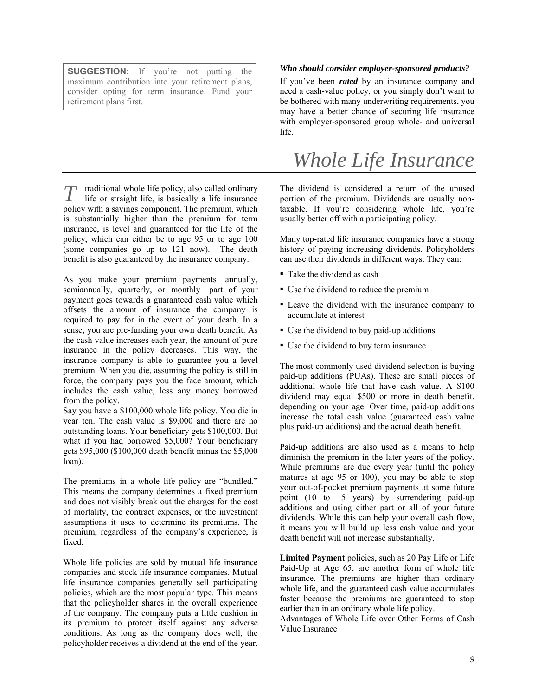**SUGGESTION:** If you're not putting the maximum contribution into your retirement plans, consider opting for term insurance. Fund your retirement plans first.

 $\tau$  traditional whole life policy, also called ordinary life or straight life, is basically a life insurance policy with a savings component. The premium, which is substantially higher than the premium for term insurance, is level and guaranteed for the life of the policy, which can either be to age 95 or to age 100 (some companies go up to 121 now). The death benefit is also guaranteed by the insurance company. *T*

As you make your premium payments—annually, semiannually, quarterly, or monthly—part of your payment goes towards a guaranteed cash value which offsets the amount of insurance the company is required to pay for in the event of your death. In a sense, you are pre-funding your own death benefit. As the cash value increases each year, the amount of pure insurance in the policy decreases. This way, the insurance company is able to guarantee you a level premium. When you die, assuming the policy is still in force, the company pays you the face amount, which includes the cash value, less any money borrowed from the policy.

Say you have a \$100,000 whole life policy. You die in year ten. The cash value is \$9,000 and there are no outstanding loans. Your beneficiary gets \$100,000. But what if you had borrowed \$5,000? Your beneficiary gets \$95,000 (\$100,000 death benefit minus the \$5,000 loan).

The premiums in a whole life policy are "bundled." This means the company determines a fixed premium and does not visibly break out the charges for the cost of mortality, the contract expenses, or the investment assumptions it uses to determine its premiums. The premium, regardless of the company's experience, is fixed.

Whole life policies are sold by mutual life insurance companies and stock life insurance companies. Mutual life insurance companies generally sell participating policies, which are the most popular type. This means that the policyholder shares in the overall experience of the company. The company puts a little cushion in its premium to protect itself against any adverse conditions. As long as the company does well, the policyholder receives a dividend at the end of the year.

#### *Who should consider employer-sponsored products?*

If you've been *rated* by an insurance company and need a cash-value policy, or you simply don't want to be bothered with many underwriting requirements, you may have a better chance of securing life insurance with employer-sponsored group whole- and universal life.

## *Whole Life Insurance*

The dividend is considered a return of the unused portion of the premium. Dividends are usually nontaxable. If you're considering whole life, you're usually better off with a participating policy.

Many top-rated life insurance companies have a strong history of paying increasing dividends. Policyholders can use their dividends in different ways. They can:

- Take the dividend as cash
- Use the dividend to reduce the premium
- Leave the dividend with the insurance company to accumulate at interest
- Use the dividend to buy paid-up additions
- Use the dividend to buy term insurance

The most commonly used dividend selection is buying paid-up additions (PUAs). These are small pieces of additional whole life that have cash value. A \$100 dividend may equal \$500 or more in death benefit, depending on your age. Over time, paid-up additions increase the total cash value (guaranteed cash value plus paid-up additions) and the actual death benefit.

Paid-up additions are also used as a means to help diminish the premium in the later years of the policy. While premiums are due every year (until the policy matures at age 95 or 100), you may be able to stop your out-of-pocket premium payments at some future point (10 to 15 years) by surrendering paid-up additions and using either part or all of your future dividends. While this can help your overall cash flow, it means you will build up less cash value and your death benefit will not increase substantially.

**Limited Payment** policies, such as 20 Pay Life or Life Paid-Up at Age 65, are another form of whole life insurance. The premiums are higher than ordinary whole life, and the guaranteed cash value accumulates faster because the premiums are guaranteed to stop earlier than in an ordinary whole life policy.

Advantages of Whole Life over Other Forms of Cash Value Insurance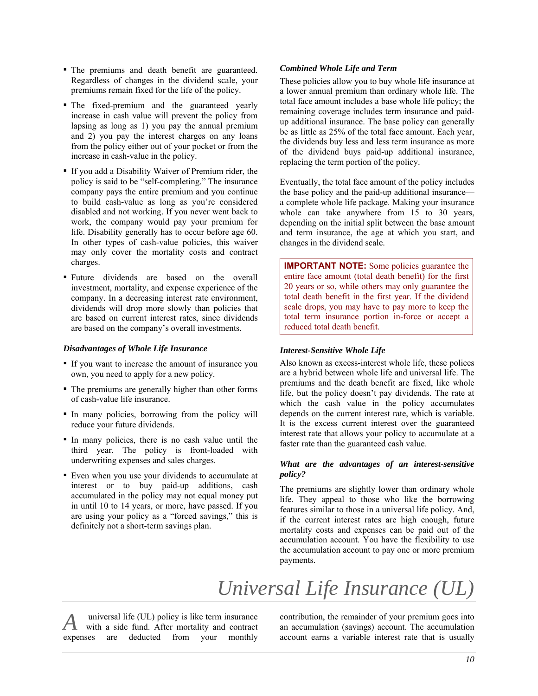- The premiums and death benefit are guaranteed. Regardless of changes in the dividend scale, your premiums remain fixed for the life of the policy.
- The fixed-premium and the guaranteed yearly increase in cash value will prevent the policy from lapsing as long as 1) you pay the annual premium and 2) you pay the interest charges on any loans from the policy either out of your pocket or from the increase in cash-value in the policy.
- If you add a Disability Waiver of Premium rider, the policy is said to be "self-completing." The insurance company pays the entire premium and you continue to build cash-value as long as you're considered disabled and not working. If you never went back to work, the company would pay your premium for life. Disability generally has to occur before age 60. In other types of cash-value policies, this waiver may only cover the mortality costs and contract charges.
- Future dividends are based on the overall investment, mortality, and expense experience of the company. In a decreasing interest rate environment, dividends will drop more slowly than policies that are based on current interest rates, since dividends are based on the company's overall investments.

#### *Disadvantages of Whole Life Insurance*

- If you want to increase the amount of insurance you own, you need to apply for a new policy.
- The premiums are generally higher than other forms of cash-value life insurance.
- In many policies, borrowing from the policy will reduce your future dividends.
- In many policies, there is no cash value until the third year. The policy is front-loaded with underwriting expenses and sales charges.
- Even when you use your dividends to accumulate at interest or to buy paid-up additions, cash accumulated in the policy may not equal money put in until 10 to 14 years, or more, have passed. If you are using your policy as a "forced savings," this is definitely not a short-term savings plan.

#### *Combined Whole Life and Term*

These policies allow you to buy whole life insurance at a lower annual premium than ordinary whole life. The total face amount includes a base whole life policy; the remaining coverage includes term insurance and paidup additional insurance. The base policy can generally be as little as 25% of the total face amount. Each year, the dividends buy less and less term insurance as more of the dividend buys paid-up additional insurance, replacing the term portion of the policy.

Eventually, the total face amount of the policy includes the base policy and the paid-up additional insurance a complete whole life package. Making your insurance whole can take anywhere from 15 to 30 years, depending on the initial split between the base amount and term insurance, the age at which you start, and changes in the dividend scale.

**IMPORTANT NOTE:** Some policies guarantee the entire face amount (total death benefit) for the first 20 years or so, while others may only guarantee the total death benefit in the first year. If the dividend scale drops, you may have to pay more to keep the total term insurance portion in-force or accept a reduced total death benefit.

#### *Interest-Sensitive Whole Life*

Also known as excess-interest whole life, these polices are a hybrid between whole life and universal life. The premiums and the death benefit are fixed, like whole life, but the policy doesn't pay dividends. The rate at which the cash value in the policy accumulates depends on the current interest rate, which is variable. It is the excess current interest over the guaranteed interest rate that allows your policy to accumulate at a faster rate than the guaranteed cash value.

#### *What are the advantages of an interest-sensitive policy?*

The premiums are slightly lower than ordinary whole life. They appeal to those who like the borrowing features similar to those in a universal life policy. And, if the current interest rates are high enough, future mortality costs and expenses can be paid out of the accumulation account. You have the flexibility to use the accumulation account to pay one or more premium payments.

# *Universal Life Insurance (UL)*

 universal life (UL) policy is like term insurance with a side fund. After mortality and contract expenses are deducted from your monthly *A*

contribution, the remainder of your premium goes into an accumulation (savings) account. The accumulation account earns a variable interest rate that is usually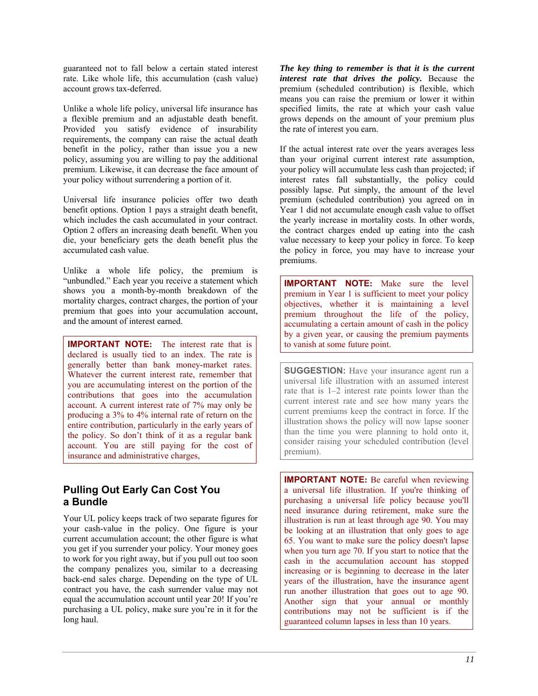guaranteed not to fall below a certain stated interest rate. Like whole life, this accumulation (cash value) account grows tax-deferred.

Unlike a whole life policy, universal life insurance has a flexible premium and an adjustable death benefit. Provided you satisfy evidence of insurability requirements, the company can raise the actual death benefit in the policy, rather than issue you a new policy, assuming you are willing to pay the additional premium. Likewise, it can decrease the face amount of your policy without surrendering a portion of it.

Universal life insurance policies offer two death benefit options. Option 1 pays a straight death benefit, which includes the cash accumulated in your contract. Option 2 offers an increasing death benefit. When you die, your beneficiary gets the death benefit plus the accumulated cash value.

Unlike a whole life policy, the premium is "unbundled." Each year you receive a statement which shows you a month-by-month breakdown of the mortality charges, contract charges, the portion of your premium that goes into your accumulation account, and the amount of interest earned.

**IMPORTANT NOTE:** The interest rate that is declared is usually tied to an index. The rate is generally better than bank money-market rates. Whatever the current interest rate, remember that you are accumulating interest on the portion of the contributions that goes into the accumulation account. A current interest rate of 7% may only be producing a 3% to 4% internal rate of return on the entire contribution, particularly in the early years of the policy. So don't think of it as a regular bank account. You are still paying for the cost of insurance and administrative charges,

## **Pulling Out Early Can Cost You a Bundle**

Your UL policy keeps track of two separate figures for your cash-value in the policy. One figure is your current accumulation account; the other figure is what you get if you surrender your policy. Your money goes to work for you right away, but if you pull out too soon the company penalizes you, similar to a decreasing back-end sales charge. Depending on the type of UL contract you have, the cash surrender value may not equal the accumulation account until year 20! If you're purchasing a UL policy, make sure you're in it for the long haul.

*The key thing to remember is that it is the current interest rate that drives the policy.* Because the premium (scheduled contribution) is flexible, which means you can raise the premium or lower it within specified limits, the rate at which your cash value grows depends on the amount of your premium plus the rate of interest you earn.

If the actual interest rate over the years averages less than your original current interest rate assumption, your policy will accumulate less cash than projected; if interest rates fall substantially, the policy could possibly lapse. Put simply, the amount of the level premium (scheduled contribution) you agreed on in Year 1 did not accumulate enough cash value to offset the yearly increase in mortality costs. In other words, the contract charges ended up eating into the cash value necessary to keep your policy in force. To keep the policy in force, you may have to increase your premiums.

**IMPORTANT NOTE:** Make sure the level premium in Year 1 is sufficient to meet your policy objectives, whether it is maintaining a level premium throughout the life of the policy, accumulating a certain amount of cash in the policy by a given year, or causing the premium payments to vanish at some future point.

**SUGGESTION:** Have your insurance agent run a universal life illustration with an assumed interest rate that is 1–2 interest rate points lower than the current interest rate and see how many years the current premiums keep the contract in force. If the illustration shows the policy will now lapse sooner than the time you were planning to hold onto it, consider raising your scheduled contribution (level premium).

**IMPORTANT NOTE:** Be careful when reviewing a universal life illustration. If you're thinking of purchasing a universal life policy because you'll need insurance during retirement, make sure the illustration is run at least through age 90. You may be looking at an illustration that only goes to age 65. You want to make sure the policy doesn't lapse when you turn age 70. If you start to notice that the cash in the accumulation account has stopped increasing or is beginning to decrease in the later years of the illustration, have the insurance agent run another illustration that goes out to age 90. Another sign that your annual or monthly contributions may not be sufficient is if the guaranteed column lapses in less than 10 years.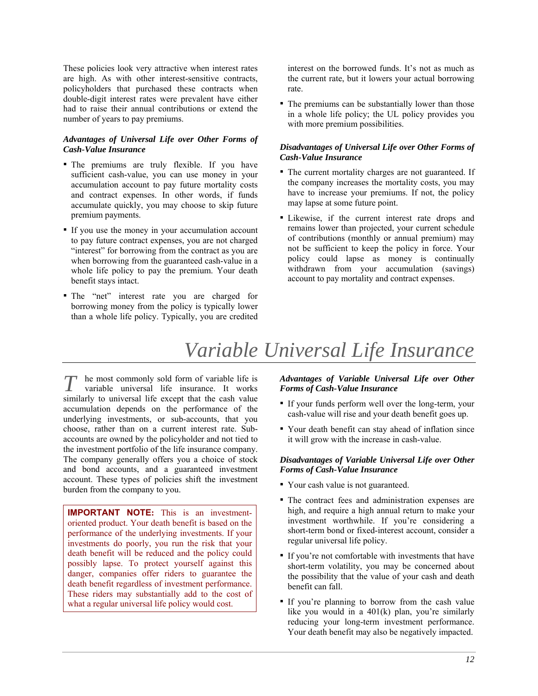These policies look very attractive when interest rates are high. As with other interest-sensitive contracts, policyholders that purchased these contracts when double-digit interest rates were prevalent have either had to raise their annual contributions or extend the number of years to pay premiums.

#### *Advantages of Universal Life over Other Forms of Cash-Value Insurance*

- The premiums are truly flexible. If you have sufficient cash-value, you can use money in your accumulation account to pay future mortality costs and contract expenses. In other words, if funds accumulate quickly, you may choose to skip future premium payments.
- If you use the money in your accumulation account to pay future contract expenses, you are not charged "interest" for borrowing from the contract as you are when borrowing from the guaranteed cash-value in a whole life policy to pay the premium. Your death benefit stays intact.
- The "net" interest rate you are charged for borrowing money from the policy is typically lower than a whole life policy. Typically, you are credited

interest on the borrowed funds. It's not as much as the current rate, but it lowers your actual borrowing rate.

• The premiums can be substantially lower than those in a whole life policy; the UL policy provides you with more premium possibilities.

#### *Disadvantages of Universal Life over Other Forms of Cash-Value Insurance*

- The current mortality charges are not guaranteed. If the company increases the mortality costs, you may have to increase your premiums. If not, the policy may lapse at some future point.
- Likewise, if the current interest rate drops and remains lower than projected, your current schedule of contributions (monthly or annual premium) may not be sufficient to keep the policy in force. Your policy could lapse as money is continually withdrawn from your accumulation (savings) account to pay mortality and contract expenses.

## *Variable Universal Life Insurance*

 $\tau$  he most commonly sold form of variable life is variable universal life insurance. It works similarly to universal life except that the cash value accumulation depends on the performance of the underlying investments, or sub-accounts, that you choose, rather than on a current interest rate. Subaccounts are owned by the policyholder and not tied to the investment portfolio of the life insurance company. The company generally offers you a choice of stock and bond accounts, and a guaranteed investment account. These types of policies shift the investment burden from the company to you. *T*

**IMPORTANT NOTE:** This is an investmentoriented product. Your death benefit is based on the performance of the underlying investments. If your investments do poorly, you run the risk that your death benefit will be reduced and the policy could possibly lapse. To protect yourself against this danger, companies offer riders to guarantee the death benefit regardless of investment performance. These riders may substantially add to the cost of what a regular universal life policy would cost.

#### *Advantages of Variable Universal Life over Other Forms of Cash-Value Insurance*

- If your funds perform well over the long-term, your cash-value will rise and your death benefit goes up.
- Your death benefit can stay ahead of inflation since it will grow with the increase in cash-value.

#### *Disadvantages of Variable Universal Life over Other Forms of Cash-Value Insurance*

- Your cash value is not guaranteed.
- The contract fees and administration expenses are high, and require a high annual return to make your investment worthwhile. If you're considering a short-term bond or fixed-interest account, consider a regular universal life policy.
- If you're not comfortable with investments that have short-term volatility, you may be concerned about the possibility that the value of your cash and death benefit can fall.
- If you're planning to borrow from the cash value like you would in a 401(k) plan, you're similarly reducing your long-term investment performance. Your death benefit may also be negatively impacted.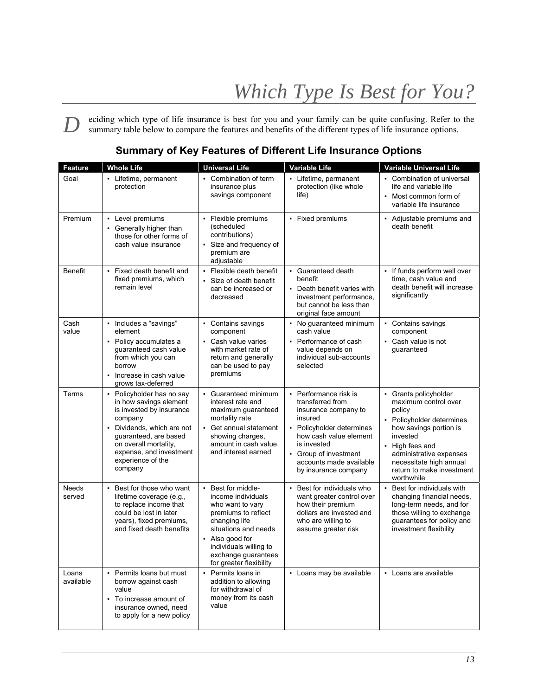eciding which type of life insurance is best for you and your family can be quite confusing. Refer to the summary table below to compare the features and benefits of the different types of life insurance options. *D*

| <b>Feature</b>         | <b>Whole Life</b>                                                                                                                                                                                                                     | <b>Universal Life</b>                                                                                                                                                                                                       | <b>Variable Life</b>                                                                                                                                                                                                           | <b>Variable Universal Life</b>                                                                                                                                                                                                                 |
|------------------------|---------------------------------------------------------------------------------------------------------------------------------------------------------------------------------------------------------------------------------------|-----------------------------------------------------------------------------------------------------------------------------------------------------------------------------------------------------------------------------|--------------------------------------------------------------------------------------------------------------------------------------------------------------------------------------------------------------------------------|------------------------------------------------------------------------------------------------------------------------------------------------------------------------------------------------------------------------------------------------|
| Goal                   | • Lifetime, permanent<br>protection                                                                                                                                                                                                   | • Combination of term<br>insurance plus<br>savings component                                                                                                                                                                | • Lifetime, permanent<br>protection (like whole<br>life)                                                                                                                                                                       | • Combination of universal<br>life and variable life<br>Most common form of<br>$\blacksquare$<br>variable life insurance                                                                                                                       |
| Premium                | • Level premiums<br>• Generally higher than<br>those for other forms of<br>cash value insurance                                                                                                                                       | • Flexible premiums<br>(scheduled<br>contributions)<br>• Size and frequency of<br>premium are<br>adjustable                                                                                                                 | • Fixed premiums                                                                                                                                                                                                               | Adjustable premiums and<br>death benefit                                                                                                                                                                                                       |
| Benefit                | • Fixed death benefit and<br>fixed premiums, which<br>remain level                                                                                                                                                                    | • Flexible death benefit<br>• Size of death benefit<br>can be increased or<br>decreased                                                                                                                                     | • Guaranteed death<br>benefit<br>• Death benefit varies with<br>investment performance,<br>but cannot be less than<br>original face amount                                                                                     | • If funds perform well over<br>time, cash value and<br>death benefit will increase<br>significantly                                                                                                                                           |
| Cash<br>value          | • Includes a "savings"<br>element<br>• Policy accumulates a<br>quaranteed cash value<br>from which you can<br>borrow<br>• Increase in cash value<br>grows tax-deferred                                                                | • Contains savings<br>component<br>• Cash value varies<br>with market rate of<br>return and generally<br>can be used to pay<br>premiums                                                                                     | • No guaranteed minimum<br>cash value<br>• Performance of cash<br>value depends on<br>individual sub-accounts<br>selected                                                                                                      | • Contains savings<br>component<br>• Cash value is not<br>guaranteed                                                                                                                                                                           |
| Terms                  | • Policyholder has no say<br>in how savings element<br>is invested by insurance<br>company<br>• Dividends, which are not<br>guaranteed, are based<br>on overall mortality,<br>expense, and investment<br>experience of the<br>company | • Guaranteed minimum<br>interest rate and<br>maximum guaranteed<br>mortality rate<br>• Get annual statement<br>showing charges,<br>amount in cash value,<br>and interest earned                                             | • Performance risk is<br>transferred from<br>insurance company to<br>insured<br>• Policyholder determines<br>how cash value element<br>is invested<br>• Group of investment<br>accounts made available<br>by insurance company | • Grants policyholder<br>maximum control over<br>policy<br>• Policyholder determines<br>how savings portion is<br>invested<br>• High fees and<br>administrative expenses<br>necessitate high annual<br>return to make investment<br>worthwhile |
| <b>Needs</b><br>served | • Best for those who want<br>lifetime coverage (e.g.,<br>to replace income that<br>could be lost in later<br>years), fixed premiums,<br>and fixed death benefits                                                                      | • Best for middle-<br>income individuals<br>who want to vary<br>premiums to reflect<br>changing life<br>situations and needs<br>• Also good for<br>individuals willing to<br>exchange guarantees<br>for greater flexibility | • Best for individuals who<br>want greater control over<br>how their premium<br>dollars are invested and<br>who are willing to<br>assume greater risk                                                                          | • Best for individuals with<br>changing financial needs,<br>long-term needs, and for<br>those willing to exchange<br>guarantees for policy and<br>investment flexibility                                                                       |
| Loans<br>available     | • Permits loans but must<br>borrow against cash<br>value<br>• To increase amount of<br>insurance owned, need<br>to apply for a new policy                                                                                             | • Permits loans in<br>addition to allowing<br>for withdrawal of<br>money from its cash<br>value                                                                                                                             | • Loans may be available                                                                                                                                                                                                       | • Loans are available                                                                                                                                                                                                                          |

## **Summary of Key Features of Different Life Insurance Options**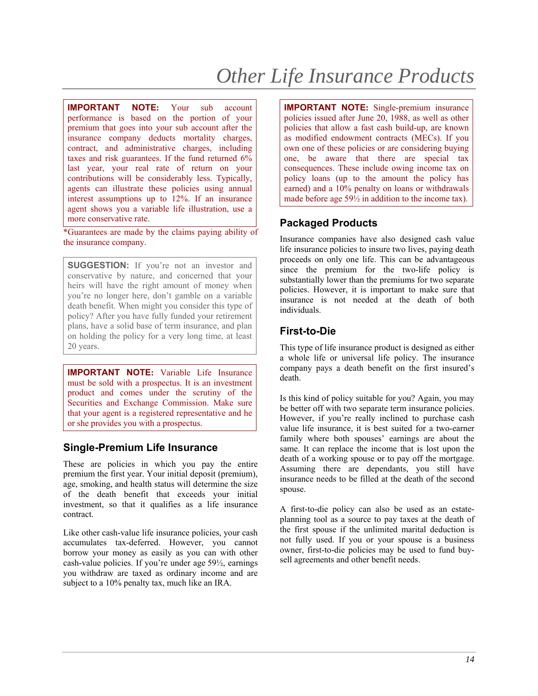**IMPORTANT NOTE:** Your sub account performance is based on the portion of your premium that goes into your sub account after the insurance company deducts mortality charges, contract, and administrative charges, including taxes and risk guarantees. If the fund returned 6% last year, your real rate of return on your contributions will be considerably less. Typically, agents can illustrate these policies using annual interest assumptions up to 12%. If an insurance agent shows you a variable life illustration, use a more conservative rate.

\*Guarantees are made by the claims paying ability of the insurance company.

**SUGGESTION:** If you're not an investor and conservative by nature, and concerned that your heirs will have the right amount of money when you're no longer here, don't gamble on a variable death benefit. When might you consider this type of policy? After you have fully funded your retirement plans, have a solid base of term insurance, and plan on holding the policy for a very long time, at least 20 years.

**IMPORTANT NOTE:** Variable Life Insurance must be sold with a prospectus. It is an investment product and comes under the scrutiny of the Securities and Exchange Commission. Make sure that your agent is a registered representative and he or she provides you with a prospectus.

## **Single-Premium Life Insurance**

These are policies in which you pay the entire premium the first year. Your initial deposit (premium), age, smoking, and health status will determine the size of the death benefit that exceeds your initial investment, so that it qualifies as a life insurance contract.

Like other cash-value life insurance policies, your cash accumulates tax-deferred. However, you cannot borrow your money as easily as you can with other cash-value policies. If you're under age 59½, earnings you withdraw are taxed as ordinary income and are subject to a 10% penalty tax, much like an IRA.

**IMPORTANT NOTE:** Single-premium insurance policies issued after June 20, 1988, as well as other policies that allow a fast cash build-up, are known as modified endowment contracts (MECs). If you own one of these policies or are considering buying one, be aware that there are special tax consequences. These include owing income tax on policy loans (up to the amount the policy has earned) and a 10% penalty on loans or withdrawals made before age 59½ in addition to the income tax).

## **Packaged Products**

Insurance companies have also designed cash value life insurance policies to insure two lives, paying death proceeds on only one life. This can be advantageous since the premium for the two-life policy is substantially lower than the premiums for two separate policies. However, it is important to make sure that insurance is not needed at the death of both individuals.

## **First-to-Die**

This type of life insurance product is designed as either a whole life or universal life policy. The insurance company pays a death benefit on the first insured's death.

Is this kind of policy suitable for you? Again, you may be better off with two separate term insurance policies. However, if you're really inclined to purchase cash value life insurance, it is best suited for a two-earner family where both spouses' earnings are about the same. It can replace the income that is lost upon the death of a working spouse or to pay off the mortgage. Assuming there are dependants, you still have insurance needs to be filled at the death of the second spouse.

A first-to-die policy can also be used as an estateplanning tool as a source to pay taxes at the death of the first spouse if the unlimited marital deduction is not fully used. If you or your spouse is a business owner, first-to-die policies may be used to fund buysell agreements and other benefit needs.